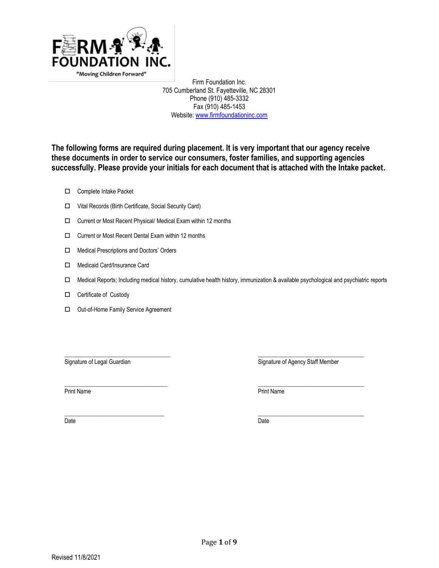

Firm Foundation Inc. 705 Cumberland St. Fayetteville, NC 28301 Phone (910) 485-3332 Fax (910) 485-1453 Website: [www.firmfoundationinc.com](http://www.firmfoundationinc.com/)

**The following forms are required during placement. It is very important that our agency receive these documents in order to service our consumers, foster families, and supporting agencies successfully. Please provide your initials for each document that is attached with the Intake packet.** 

- □ Complete Intake Packet
- Vital Records (Birth Certificate, Social Security Card)
- □ Current or Most Recent Physical/ Medical Exam within 12 months
- Current or Most Recent Dental Exam within 12 months
- □ Medical Prescriptions and Doctors' Orders
- □ Medicaid Card/Insurance Card
- Medical Reports; Including medical history, cumulative health history, immunization & available psychological and psychiatric reports

\_\_\_\_\_\_\_\_\_\_\_\_\_\_\_\_\_\_\_\_\_\_\_\_\_\_\_\_\_\_\_\_\_\_\_\_ \_\_\_\_\_\_\_\_\_\_\_\_\_\_\_\_\_\_\_\_\_\_\_\_\_\_\_\_\_\_\_\_\_\_\_\_

- $\Box$  Certificate of Custody
- □ Out-of-Home Family Service Agreement

Signature of Legal Guardian North Staff Member Controller Staff Member Signature of Agency Staff Member

 $\frac{1}{2}$  ,  $\frac{1}{2}$  ,  $\frac{1}{2}$  ,  $\frac{1}{2}$  ,  $\frac{1}{2}$  ,  $\frac{1}{2}$  ,  $\frac{1}{2}$  ,  $\frac{1}{2}$  ,  $\frac{1}{2}$  ,  $\frac{1}{2}$  ,  $\frac{1}{2}$  ,  $\frac{1}{2}$  ,  $\frac{1}{2}$  ,  $\frac{1}{2}$  ,  $\frac{1}{2}$  ,  $\frac{1}{2}$  ,  $\frac{1}{2}$  ,  $\frac{1}{2}$  ,  $\frac{1$ Print Name Print Name

\_\_\_\_\_\_\_\_\_\_\_\_\_\_\_\_\_\_\_\_\_\_\_\_\_\_\_\_\_\_\_\_\_\_ \_\_\_\_\_\_\_\_\_\_\_\_\_\_\_\_\_\_\_\_\_\_\_\_\_\_\_\_\_\_\_\_\_\_\_\_ Date **Date Date Date Date Date Date Date Date Date Date Date Date**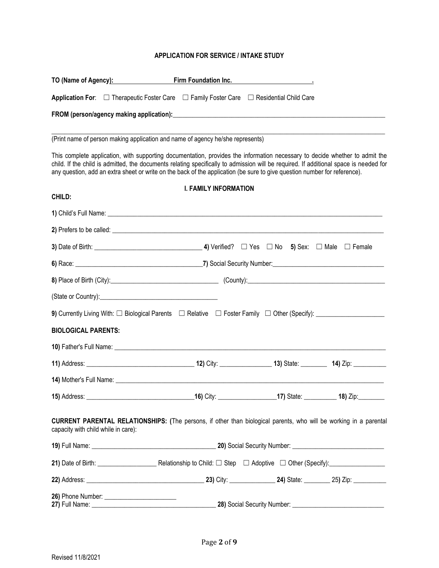### **APPLICATION FOR SERVICE / INTAKE STUDY**

| TO (Name of Agency): TO (Name of Agency):                                                                                                                                                                                                                                                                                                                                                         | Firm Foundation Inc.         |  |
|---------------------------------------------------------------------------------------------------------------------------------------------------------------------------------------------------------------------------------------------------------------------------------------------------------------------------------------------------------------------------------------------------|------------------------------|--|
| <b>Application For:</b> $\Box$ Therapeutic Foster Care $\Box$ Family Foster Care $\Box$ Residential Child Care                                                                                                                                                                                                                                                                                    |                              |  |
|                                                                                                                                                                                                                                                                                                                                                                                                   |                              |  |
| (Print name of person making application and name of agency he/she represents)                                                                                                                                                                                                                                                                                                                    |                              |  |
| This complete application, with supporting documentation, provides the information necessary to decide whether to admit the<br>child. If the child is admitted, the documents relating specifically to admission will be required. If additional space is needed for<br>any question, add an extra sheet or write on the back of the application (be sure to give question number for reference). |                              |  |
|                                                                                                                                                                                                                                                                                                                                                                                                   | <b>I. FAMILY INFORMATION</b> |  |
| CHILD:                                                                                                                                                                                                                                                                                                                                                                                            |                              |  |
|                                                                                                                                                                                                                                                                                                                                                                                                   |                              |  |
|                                                                                                                                                                                                                                                                                                                                                                                                   |                              |  |
|                                                                                                                                                                                                                                                                                                                                                                                                   |                              |  |
|                                                                                                                                                                                                                                                                                                                                                                                                   |                              |  |
| 8) Place of Birth (City): 2010 County: County: County: 2010 County: 2010 County:                                                                                                                                                                                                                                                                                                                  |                              |  |
|                                                                                                                                                                                                                                                                                                                                                                                                   |                              |  |
|                                                                                                                                                                                                                                                                                                                                                                                                   |                              |  |
| <b>BIOLOGICAL PARENTS:</b>                                                                                                                                                                                                                                                                                                                                                                        |                              |  |
|                                                                                                                                                                                                                                                                                                                                                                                                   |                              |  |
|                                                                                                                                                                                                                                                                                                                                                                                                   |                              |  |
|                                                                                                                                                                                                                                                                                                                                                                                                   |                              |  |
| 15) Address: 18) 2ip: 15) Address: 16) City: 16) City: 17) State: 18) Zip:                                                                                                                                                                                                                                                                                                                        |                              |  |
| <b>CURRENT PARENTAL RELATIONSHIPS:</b> (The persons, if other than biological parents, who will be working in a parental<br>capacity with child while in care):                                                                                                                                                                                                                                   |                              |  |
|                                                                                                                                                                                                                                                                                                                                                                                                   |                              |  |
|                                                                                                                                                                                                                                                                                                                                                                                                   |                              |  |
|                                                                                                                                                                                                                                                                                                                                                                                                   |                              |  |
|                                                                                                                                                                                                                                                                                                                                                                                                   |                              |  |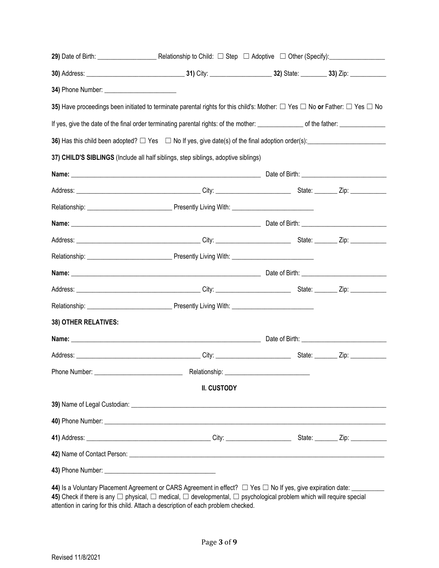|                      | 35) Have proceedings been initiated to terminate parental rights for this child's: Mother: $\Box$ Yes $\Box$ No or Father: $\Box$ Yes $\Box$ No                                                                                                                                                                                                                  |  |
|----------------------|------------------------------------------------------------------------------------------------------------------------------------------------------------------------------------------------------------------------------------------------------------------------------------------------------------------------------------------------------------------|--|
|                      | If yes, give the date of the final order terminating parental rights: of the mother: _______________ of the father: __________________                                                                                                                                                                                                                           |  |
|                      |                                                                                                                                                                                                                                                                                                                                                                  |  |
|                      | 37) CHILD'S SIBLINGS (Include all half siblings, step siblings, adoptive siblings)                                                                                                                                                                                                                                                                               |  |
|                      |                                                                                                                                                                                                                                                                                                                                                                  |  |
|                      |                                                                                                                                                                                                                                                                                                                                                                  |  |
|                      |                                                                                                                                                                                                                                                                                                                                                                  |  |
|                      |                                                                                                                                                                                                                                                                                                                                                                  |  |
|                      |                                                                                                                                                                                                                                                                                                                                                                  |  |
|                      |                                                                                                                                                                                                                                                                                                                                                                  |  |
|                      |                                                                                                                                                                                                                                                                                                                                                                  |  |
|                      |                                                                                                                                                                                                                                                                                                                                                                  |  |
|                      |                                                                                                                                                                                                                                                                                                                                                                  |  |
| 38) OTHER RELATIVES: |                                                                                                                                                                                                                                                                                                                                                                  |  |
|                      |                                                                                                                                                                                                                                                                                                                                                                  |  |
|                      |                                                                                                                                                                                                                                                                                                                                                                  |  |
| Phone Number:        | Relationship:                                                                                                                                                                                                                                                                                                                                                    |  |
|                      | II. CUSTODY                                                                                                                                                                                                                                                                                                                                                      |  |
|                      |                                                                                                                                                                                                                                                                                                                                                                  |  |
|                      |                                                                                                                                                                                                                                                                                                                                                                  |  |
|                      |                                                                                                                                                                                                                                                                                                                                                                  |  |
|                      |                                                                                                                                                                                                                                                                                                                                                                  |  |
|                      |                                                                                                                                                                                                                                                                                                                                                                  |  |
|                      | 44) Is a Voluntary Placement Agreement or CARS Agreement in effect? $\Box$ Yes $\Box$ No If yes, give expiration date: ________<br>45) Check if there is any $\Box$ physical, $\Box$ medical, $\Box$ developmental, $\Box$ psychological problem which will require special<br>attention in caring for this child. Attach a description of each problem checked. |  |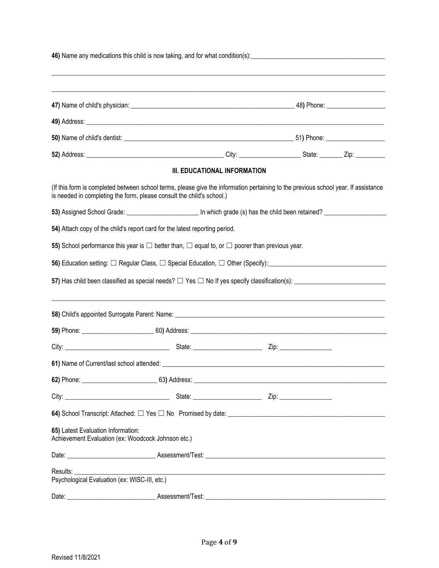|                                               |                                                                                                               | III. EDUCATIONAL INFORMATION |                                                                                                                                    |
|-----------------------------------------------|---------------------------------------------------------------------------------------------------------------|------------------------------|------------------------------------------------------------------------------------------------------------------------------------|
|                                               | is needed in completing the form, please consult the child's school.)                                         |                              | (If this form is completed between school terms, please give the information pertaining to the previous school year. If assistance |
|                                               |                                                                                                               |                              |                                                                                                                                    |
|                                               | 54) Attach copy of the child's report card for the latest reporting period.                                   |                              |                                                                                                                                    |
|                                               | 55) School performance this year is $\Box$ better than, $\Box$ equal to, or $\Box$ poorer than previous year. |                              |                                                                                                                                    |
|                                               |                                                                                                               |                              |                                                                                                                                    |
|                                               |                                                                                                               |                              | 57) Has child been classified as special needs? $\Box$ Yes $\Box$ No If yes specify classification(s): $\Box$                      |
|                                               |                                                                                                               |                              | ,我们也不能在这里的,我们也不能在这里的,我们也不能在这里的,我们也不能不能不能不能不能不能不能不能不能不能。""我们,我们也不能不能不能不能不能不能不能不能不能                                                  |
|                                               |                                                                                                               |                              |                                                                                                                                    |
|                                               |                                                                                                               |                              |                                                                                                                                    |
|                                               |                                                                                                               |                              |                                                                                                                                    |
|                                               |                                                                                                               |                              |                                                                                                                                    |
|                                               |                                                                                                               |                              |                                                                                                                                    |
|                                               |                                                                                                               |                              |                                                                                                                                    |
| 65) Latest Evaluation Information:            | Achievement Evaluation (ex: Woodcock Johnson etc.)                                                            |                              |                                                                                                                                    |
|                                               |                                                                                                               |                              |                                                                                                                                    |
| Results: <b>Example</b>                       |                                                                                                               |                              | <u> 1989 - Johann Barn, amerikan bernama di sebagai bernama di sebagai bernama di sebagai bernama di sebagai bern</u>              |
| Psychological Evaluation (ex: WISC-III, etc.) |                                                                                                               |                              |                                                                                                                                    |
|                                               |                                                                                                               |                              |                                                                                                                                    |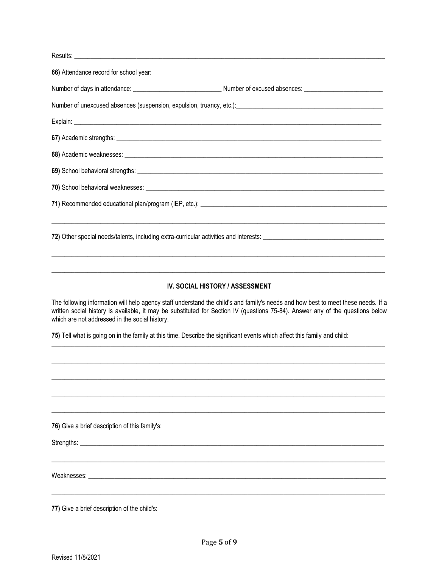| 66) Attendance record for school year:                                                                                                                                                                                         |  |
|--------------------------------------------------------------------------------------------------------------------------------------------------------------------------------------------------------------------------------|--|
|                                                                                                                                                                                                                                |  |
| Number of unexcused absences (suspension, expulsion, truancy, etc.): [1991] [2012] [2013] [2013] [2013] [2014] [2014] [2014] [2014] [2014] [2014] [2014] [2014] [2014] [2014] [2014] [2014] [2014] [2014] [2014] [2014] [2014] |  |
|                                                                                                                                                                                                                                |  |
|                                                                                                                                                                                                                                |  |
|                                                                                                                                                                                                                                |  |
|                                                                                                                                                                                                                                |  |
|                                                                                                                                                                                                                                |  |
|                                                                                                                                                                                                                                |  |
|                                                                                                                                                                                                                                |  |
|                                                                                                                                                                                                                                |  |
|                                                                                                                                                                                                                                |  |
|                                                                                                                                                                                                                                |  |
| <b>IV. SOCIAL HISTORY / ASSESSMENT</b>                                                                                                                                                                                         |  |

The following information will help agency staff understand the child's and family's needs and how best to meet these needs. If a written social history is available, it may be substituted for Section IV (questions 75-84). Answer any of the questions below which are not addressed in the social history.

75) Tell what is going on in the family at this time. Describe the significant events which affect this family and child:

76) Give a brief description of this family's:

Strengths: Example 2004 and 2006 and 2006 and 2006 and 2006 and 2006 and 2006 and 2006 and 2006 and 2006 and 2006 and 2006 and 2006 and 2006 and 2006 and 2006 and 2006 and 2006 and 2006 and 2006 and 2006 and 2006 and 2006

Weaknesses: Nearly Measurement and the settlement of the settlement of the settlement of the settlement of the

77) Give a brief description of the child's: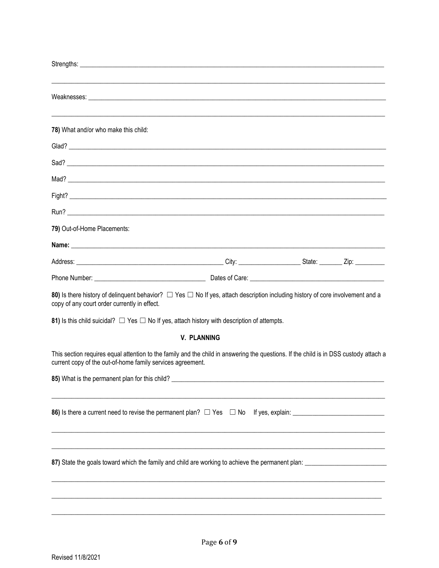| 78) What and/or who make this child:                                                                                                                                                                |
|-----------------------------------------------------------------------------------------------------------------------------------------------------------------------------------------------------|
|                                                                                                                                                                                                     |
| Sad?                                                                                                                                                                                                |
|                                                                                                                                                                                                     |
|                                                                                                                                                                                                     |
|                                                                                                                                                                                                     |
| 79) Out-of-Home Placements:                                                                                                                                                                         |
|                                                                                                                                                                                                     |
|                                                                                                                                                                                                     |
|                                                                                                                                                                                                     |
| 80) Is there history of delinquent behavior? $\Box$ Yes $\Box$ No If yes, attach description including history of core involvement and a<br>copy of any court order currently in effect.            |
| 81) Is this child suicidal? $\Box$ Yes $\Box$ No If yes, attach history with description of attempts.                                                                                               |
| <b>V. PLANNING</b>                                                                                                                                                                                  |
| This section requires equal attention to the family and the child in answering the questions. If the child is in DSS custody attach a<br>current copy of the out-of-home family services agreement. |
| 85) What is the permanent plan for this child?                                                                                                                                                      |
|                                                                                                                                                                                                     |
|                                                                                                                                                                                                     |
| 87) State the goals toward which the family and child are working to achieve the permanent plan:                                                                                                    |
|                                                                                                                                                                                                     |
|                                                                                                                                                                                                     |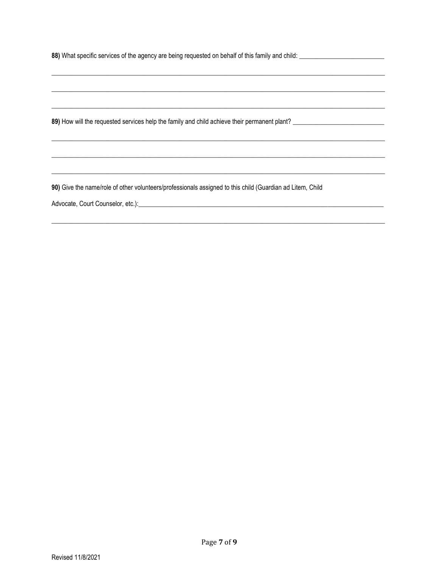90) Give the name/role of other volunteers/professionals assigned to this child (Guardian ad Litem, Child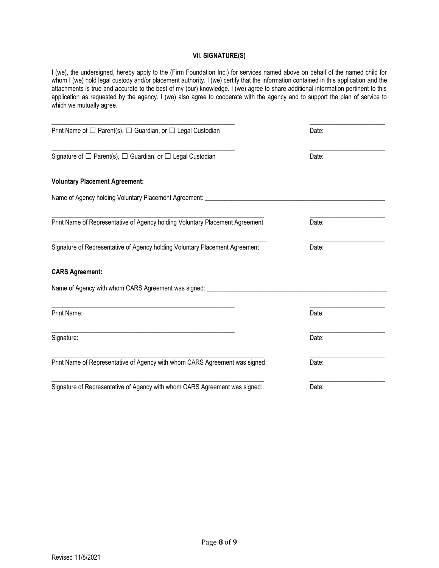#### **VII. SIGNATURE(S)**

I (we), the undersigned, hereby apply to the (Firm Foundation Inc.) for services named above on behalf of the named child for whom I (we) hold legal custody and/or placement authority. I (we) certify that the information contained in this application and the attachments is true and accurate to the best of my (our) knowledge. I (we) agree to share additional information pertinent to this application as requested by the agency. I (we) also agree to cooperate with the agency and to support the plan of service to which we mutually agree.

| Print Name of $\square$ Parent(s), $\square$ Guardian, or $\square$ Legal Custodian | Date: |  |
|-------------------------------------------------------------------------------------|-------|--|
| Signature of $\square$ Parent(s), $\square$ Guardian, or $\square$ Legal Custodian  | Date: |  |
| <b>Voluntary Placement Agreement:</b>                                               |       |  |
| Name of Agency holding Voluntary Placement Agreement: ________                      |       |  |
| Print Name of Representative of Agency holding Voluntary Placement Agreement        | Date: |  |
| Signature of Representative of Agency holding Voluntary Placement Agreement         | Date: |  |
| <b>CARS Agreement:</b>                                                              |       |  |
| Name of Agency with whom CARS Agreement was signed: ____                            |       |  |
| Print Name:                                                                         | Date: |  |
| Signature:                                                                          | Date: |  |
| Print Name of Representative of Agency with whom CARS Agreement was signed:         | Date: |  |
| Signature of Representative of Agency with whom CARS Agreement was signed:          | Date: |  |